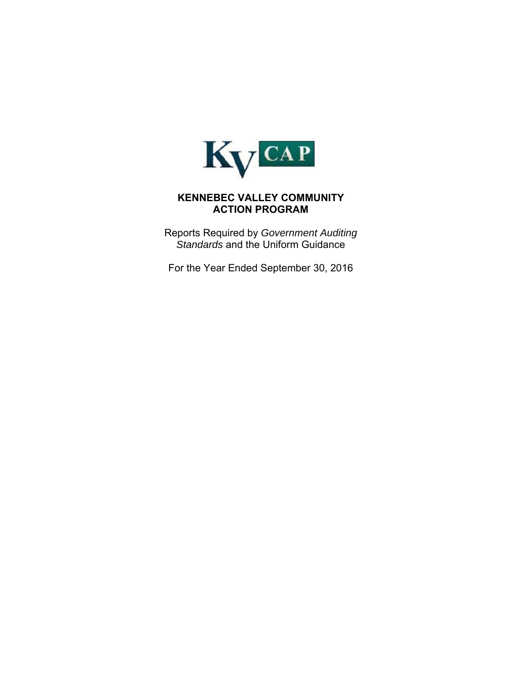

# **KENNEBEC VALLEY COMMUNITY ACTION PROGRAM**

Reports Required by *Government Auditing Standards* and the Uniform Guidance

For the Year Ended September 30, 2016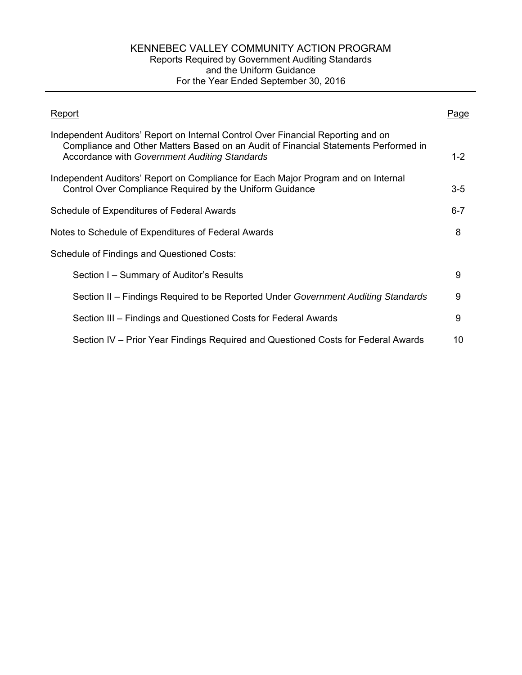# KENNEBEC VALLEY COMMUNITY ACTION PROGRAM Reports Required by Government Auditing Standards and the Uniform Guidance For the Year Ended September 30, 2016

| Report                                                                                                                                                                                                                   | <u>Page</u> |
|--------------------------------------------------------------------------------------------------------------------------------------------------------------------------------------------------------------------------|-------------|
| Independent Auditors' Report on Internal Control Over Financial Reporting and on<br>Compliance and Other Matters Based on an Audit of Financial Statements Performed in<br>Accordance with Government Auditing Standards | $1 - 2$     |
| Independent Auditors' Report on Compliance for Each Major Program and on Internal<br>Control Over Compliance Required by the Uniform Guidance                                                                            | $3 - 5$     |
| Schedule of Expenditures of Federal Awards                                                                                                                                                                               | $6 - 7$     |
| Notes to Schedule of Expenditures of Federal Awards                                                                                                                                                                      | 8           |
| Schedule of Findings and Questioned Costs:                                                                                                                                                                               |             |
| Section I – Summary of Auditor's Results                                                                                                                                                                                 | 9           |
| Section II – Findings Required to be Reported Under Government Auditing Standards                                                                                                                                        | 9           |
| Section III – Findings and Questioned Costs for Federal Awards                                                                                                                                                           | 9           |
| Section IV – Prior Year Findings Required and Questioned Costs for Federal Awards                                                                                                                                        | 10          |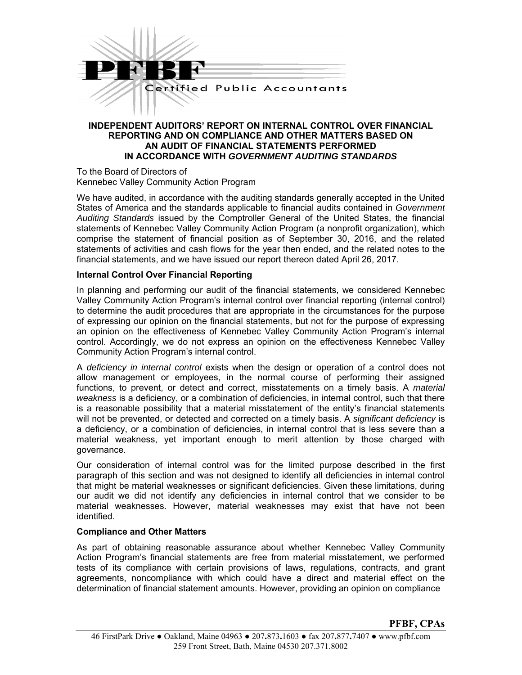

# **INDEPENDENT AUDITORS' REPORT ON INTERNAL CONTROL OVER FINANCIAL REPORTING AND ON COMPLIANCE AND OTHER MATTERS BASED ON AN AUDIT OF FINANCIAL STATEMENTS PERFORMED IN ACCORDANCE WITH** *GOVERNMENT AUDITING STANDARDS*

To the Board of Directors of Kennebec Valley Community Action Program

We have audited, in accordance with the auditing standards generally accepted in the United States of America and the standards applicable to financial audits contained in *Government Auditing Standards* issued by the Comptroller General of the United States, the financial statements of Kennebec Valley Community Action Program (a nonprofit organization), which comprise the statement of financial position as of September 30, 2016, and the related statements of activities and cash flows for the year then ended, and the related notes to the financial statements, and we have issued our report thereon dated April 26, 2017.

# **Internal Control Over Financial Reporting**

In planning and performing our audit of the financial statements, we considered Kennebec Valley Community Action Program's internal control over financial reporting (internal control) to determine the audit procedures that are appropriate in the circumstances for the purpose of expressing our opinion on the financial statements, but not for the purpose of expressing an opinion on the effectiveness of Kennebec Valley Community Action Program's internal control. Accordingly, we do not express an opinion on the effectiveness Kennebec Valley Community Action Program's internal control.

A *deficiency in internal control* exists when the design or operation of a control does not allow management or employees, in the normal course of performing their assigned functions, to prevent, or detect and correct, misstatements on a timely basis. A *material weakness* is a deficiency, or a combination of deficiencies, in internal control, such that there is a reasonable possibility that a material misstatement of the entity's financial statements will not be prevented, or detected and corrected on a timely basis. A *significant deficiency* is a deficiency, or a combination of deficiencies, in internal control that is less severe than a material weakness, yet important enough to merit attention by those charged with governance.

Our consideration of internal control was for the limited purpose described in the first paragraph of this section and was not designed to identify all deficiencies in internal control that might be material weaknesses or significant deficiencies. Given these limitations, during our audit we did not identify any deficiencies in internal control that we consider to be material weaknesses. However, material weaknesses may exist that have not been identified.

### **Compliance and Other Matters**

As part of obtaining reasonable assurance about whether Kennebec Valley Community Action Program's financial statements are free from material misstatement, we performed tests of its compliance with certain provisions of laws, regulations, contracts, and grant agreements, noncompliance with which could have a direct and material effect on the determination of financial statement amounts. However, providing an opinion on compliance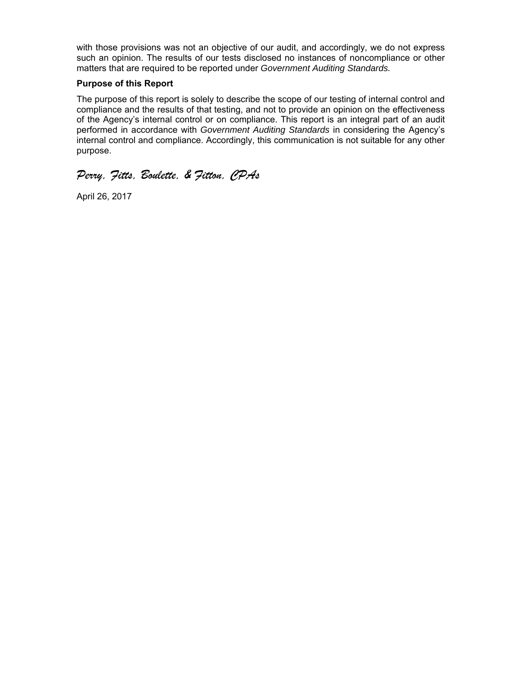with those provisions was not an objective of our audit, and accordingly, we do not express such an opinion. The results of our tests disclosed no instances of noncompliance or other matters that are required to be reported under *Government Auditing Standards.*

### **Purpose of this Report**

The purpose of this report is solely to describe the scope of our testing of internal control and compliance and the results of that testing, and not to provide an opinion on the effectiveness of the Agency's internal control or on compliance. This report is an integral part of an audit performed in accordance with *Government Auditing Standards* in considering the Agency's internal control and compliance. Accordingly, this communication is not suitable for any other purpose.

*Perry, Fitts, Boulette, & Fitton, CPAs* 

April 26, 2017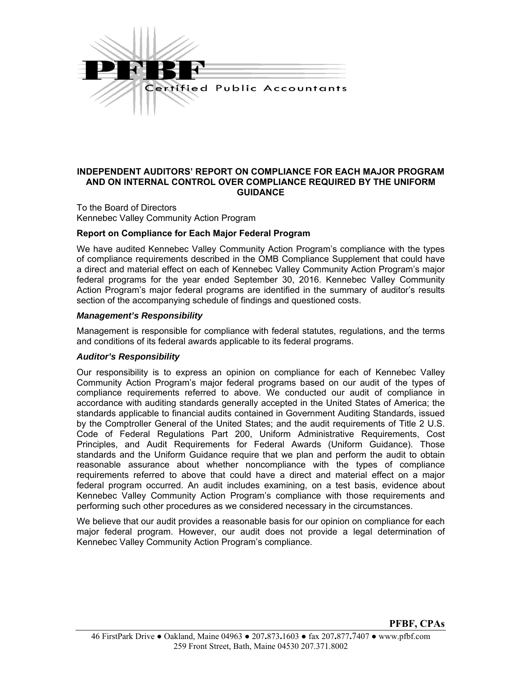

# **INDEPENDENT AUDITORS' REPORT ON COMPLIANCE FOR EACH MAJOR PROGRAM AND ON INTERNAL CONTROL OVER COMPLIANCE REQUIRED BY THE UNIFORM GUIDANCE**

To the Board of Directors Kennebec Valley Community Action Program

### **Report on Compliance for Each Major Federal Program**

We have audited Kennebec Valley Community Action Program's compliance with the types of compliance requirements described in the OMB Compliance Supplement that could have a direct and material effect on each of Kennebec Valley Community Action Program's major federal programs for the year ended September 30, 2016. Kennebec Valley Community Action Program's major federal programs are identified in the summary of auditor's results section of the accompanying schedule of findings and questioned costs.

#### *Management's Responsibility*

Management is responsible for compliance with federal statutes, regulations, and the terms and conditions of its federal awards applicable to its federal programs.

### *Auditor's Responsibility*

Our responsibility is to express an opinion on compliance for each of Kennebec Valley Community Action Program's major federal programs based on our audit of the types of compliance requirements referred to above. We conducted our audit of compliance in accordance with auditing standards generally accepted in the United States of America; the standards applicable to financial audits contained in Government Auditing Standards, issued by the Comptroller General of the United States; and the audit requirements of Title 2 U.S. Code of Federal Regulations Part 200, Uniform Administrative Requirements, Cost Principles, and Audit Requirements for Federal Awards (Uniform Guidance). Those standards and the Uniform Guidance require that we plan and perform the audit to obtain reasonable assurance about whether noncompliance with the types of compliance requirements referred to above that could have a direct and material effect on a major federal program occurred. An audit includes examining, on a test basis, evidence about Kennebec Valley Community Action Program's compliance with those requirements and performing such other procedures as we considered necessary in the circumstances.

We believe that our audit provides a reasonable basis for our opinion on compliance for each major federal program. However, our audit does not provide a legal determination of Kennebec Valley Community Action Program's compliance.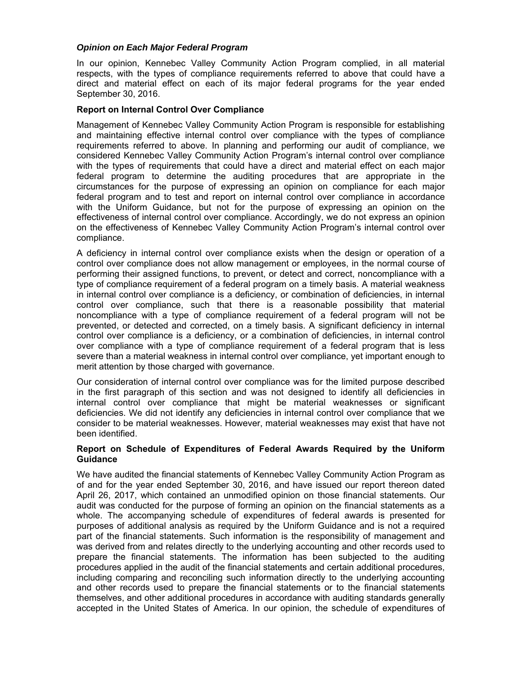#### *Opinion on Each Major Federal Program*

In our opinion, Kennebec Valley Community Action Program complied, in all material respects, with the types of compliance requirements referred to above that could have a direct and material effect on each of its major federal programs for the year ended September 30, 2016.

#### **Report on Internal Control Over Compliance**

Management of Kennebec Valley Community Action Program is responsible for establishing and maintaining effective internal control over compliance with the types of compliance requirements referred to above. In planning and performing our audit of compliance, we considered Kennebec Valley Community Action Program's internal control over compliance with the types of requirements that could have a direct and material effect on each major federal program to determine the auditing procedures that are appropriate in the circumstances for the purpose of expressing an opinion on compliance for each major federal program and to test and report on internal control over compliance in accordance with the Uniform Guidance, but not for the purpose of expressing an opinion on the effectiveness of internal control over compliance. Accordingly, we do not express an opinion on the effectiveness of Kennebec Valley Community Action Program's internal control over compliance.

A deficiency in internal control over compliance exists when the design or operation of a control over compliance does not allow management or employees, in the normal course of performing their assigned functions, to prevent, or detect and correct, noncompliance with a type of compliance requirement of a federal program on a timely basis. A material weakness in internal control over compliance is a deficiency, or combination of deficiencies, in internal control over compliance, such that there is a reasonable possibility that material noncompliance with a type of compliance requirement of a federal program will not be prevented, or detected and corrected, on a timely basis. A significant deficiency in internal control over compliance is a deficiency, or a combination of deficiencies, in internal control over compliance with a type of compliance requirement of a federal program that is less severe than a material weakness in internal control over compliance, yet important enough to merit attention by those charged with governance.

Our consideration of internal control over compliance was for the limited purpose described in the first paragraph of this section and was not designed to identify all deficiencies in internal control over compliance that might be material weaknesses or significant deficiencies. We did not identify any deficiencies in internal control over compliance that we consider to be material weaknesses. However, material weaknesses may exist that have not been identified.

#### **Report on Schedule of Expenditures of Federal Awards Required by the Uniform Guidance**

We have audited the financial statements of Kennebec Valley Community Action Program as of and for the year ended September 30, 2016, and have issued our report thereon dated April 26, 2017, which contained an unmodified opinion on those financial statements. Our audit was conducted for the purpose of forming an opinion on the financial statements as a whole. The accompanying schedule of expenditures of federal awards is presented for purposes of additional analysis as required by the Uniform Guidance and is not a required part of the financial statements. Such information is the responsibility of management and was derived from and relates directly to the underlying accounting and other records used to prepare the financial statements. The information has been subjected to the auditing procedures applied in the audit of the financial statements and certain additional procedures, including comparing and reconciling such information directly to the underlying accounting and other records used to prepare the financial statements or to the financial statements themselves, and other additional procedures in accordance with auditing standards generally accepted in the United States of America. In our opinion, the schedule of expenditures of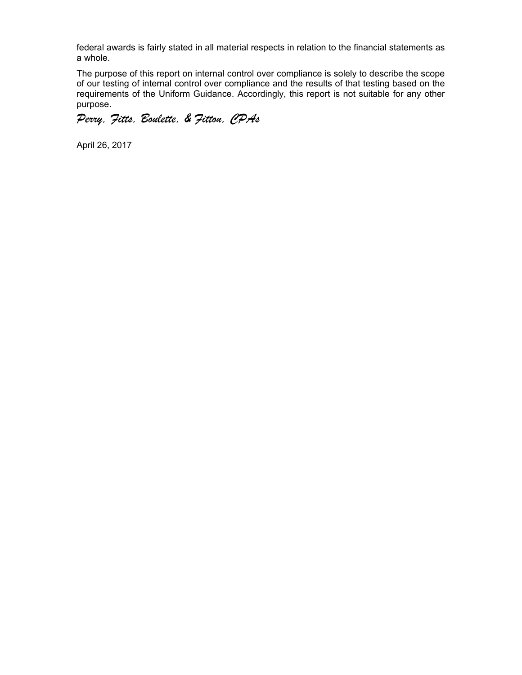federal awards is fairly stated in all material respects in relation to the financial statements as a whole.

The purpose of this report on internal control over compliance is solely to describe the scope of our testing of internal control over compliance and the results of that testing based on the requirements of the Uniform Guidance. Accordingly, this report is not suitable for any other purpose.

*Perry, Fitts, Boulette, & Fitton, CPAs* 

April 26, 2017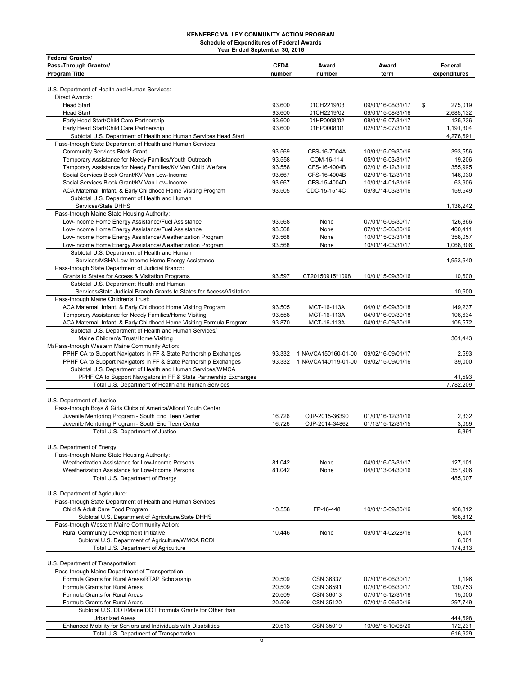#### **KENNEBEC VALLEY COMMUNITY ACTION PROGRAM Schedule of Expenditures of Federal Awards Year Ended September 30, 2016**

| Federal Grantor/                                                      |             |                     |                   |               |
|-----------------------------------------------------------------------|-------------|---------------------|-------------------|---------------|
| Pass-Through Grantor/                                                 | <b>CFDA</b> | Award               | Award             | Federal       |
| <b>Program Title</b>                                                  | number      | number              | term              | expenditures  |
|                                                                       |             |                     |                   |               |
| U.S. Department of Health and Human Services:                         |             |                     |                   |               |
| Direct Awards:                                                        |             |                     |                   |               |
| <b>Head Start</b>                                                     | 93.600      | 01CH2219/03         | 09/01/16-08/31/17 | \$<br>275,019 |
| <b>Head Start</b>                                                     | 93.600      | 01CH2219/02         | 09/01/15-08/31/16 | 2,685,132     |
| Early Head Start/Child Care Partnership                               | 93.600      | 01HP0008/02         | 08/01/16-07/31/17 | 125,236       |
| Early Head Start/Child Care Partnership                               | 93.600      | 01HP0008/01         | 02/01/15-07/31/16 | 1,191,304     |
| Subtotal U.S. Department of Health and Human Services Head Start      |             |                     |                   | 4,276,691     |
| Pass-through State Department of Health and Human Services:           |             |                     |                   |               |
| <b>Community Services Block Grant</b>                                 | 93.569      | CFS-16-7004A        | 10/01/15-09/30/16 | 393,556       |
| Temporary Assistance for Needy Families/Youth Outreach                | 93.558      | COM-16-114          | 05/01/16-03/31/17 | 19,206        |
| Temporary Assistance for Needy Families/KV Van Child Welfare          | 93.558      | CFS-16-4004B        | 02/01/16-12/31/16 | 355,995       |
| Social Services Block Grant/KV Van Low-Income                         | 93.667      | CFS-16-4004B        | 02/01/16-12/31/16 | 146,030       |
| Social Services Block Grant/KV Van Low-Income                         | 93.667      | CFS-15-4004D        | 10/01/14-01/31/16 | 63,906        |
| ACA Maternal, Infant, & Early Childhood Home Visiting Program         | 93.505      | CDC-15-1514C        | 09/30/14-03/31/16 | 159,549       |
| Subtotal U.S. Department of Health and Human                          |             |                     |                   |               |
| Services/State DHHS                                                   |             |                     |                   | 1,138,242     |
| Pass-through Maine State Housing Authority:                           |             |                     |                   |               |
| Low-Income Home Energy Assistance/Fuel Assistance                     | 93.568      | None                | 07/01/16-06/30/17 | 126,866       |
| Low-Income Home Energy Assistance/Fuel Assistance                     | 93.568      | None                | 07/01/15-06/30/16 | 400,411       |
| Low-Income Home Energy Assistance/Weatherization Program              | 93.568      | None                | 10/01/15-03/31/18 | 358,057       |
| Low-Income Home Energy Assistance/Weatherization Program              | 93.568      | None                | 10/01/14-03/31/17 | 1,068,306     |
| Subtotal U.S. Department of Health and Human                          |             |                     |                   |               |
| Services/MSHA Low-Income Home Energy Assistance                       |             |                     |                   | 1,953,640     |
| Pass-through State Department of Judicial Branch:                     |             |                     |                   |               |
| Grants to States for Access & Visitation Programs                     | 93.597      | CT20150915*1098     | 10/01/15-09/30/16 | 10,600        |
| Subtotal U.S. Department Health and Human                             |             |                     |                   |               |
| Services/State Judicial Branch Grants to States for Access/Visitation |             |                     |                   | 10,600        |
| Pass-through Maine Children's Trust:                                  |             |                     |                   |               |
| ACA Maternal, Infant, & Early Childhood Home Visiting Program         | 93.505      | MCT-16-113A         | 04/01/16-09/30/18 | 149,237       |
| Temporary Assistance for Needy Families/Home Visiting                 | 93.558      | MCT-16-113A         | 04/01/16-09/30/18 | 106,634       |
| ACA Maternal, Infant, & Early Childhood Home Visiting Formula Program | 93.870      | MCT-16-113A         | 04/01/16-09/30/18 | 105,572       |
| Subtotal U.S. Department of Health and Human Services/                |             |                     |                   |               |
| Maine Children's Trust/Home Visiting                                  |             |                     |                   | 361,443       |
| Ma Pass-through Western Maine Community Action:                       |             |                     |                   |               |
| PPHF CA to Support Navigators in FF & State Partnership Exchanges     | 93.332      | 1 NAVCA150160-01-00 | 09/02/16-09/01/17 | 2,593         |
| PPHF CA to Support Navigators in FF & State Partnership Exchanges     | 93.332      | 1 NAVCA140119-01-00 | 09/02/15-09/01/16 | 39,000        |
| Subtotal U.S. Department of Health and Human Services/WMCA            |             |                     |                   |               |
| PPHF CA to Support Navigators in FF & State Partnership Exchanges     |             |                     |                   | 41,593        |
| Total U.S. Department of Health and Human Services                    |             |                     |                   | 7,782,209     |
|                                                                       |             |                     |                   |               |
| U.S. Department of Justice                                            |             |                     |                   |               |
| Pass-through Boys & Girls Clubs of America/Alfond Youth Center        |             |                     |                   |               |
| Juvenile Mentoring Program - South End Teen Center                    | 16.726      | OJP-2015-36390      | 01/01/16-12/31/16 | 2,332         |
| Juvenile Mentoring Program - South End Teen Center                    | 16.726      | OJP-2014-34862      | 01/13/15-12/31/15 | 3,059         |
| Total U.S. Department of Justice                                      |             |                     |                   | 5,391         |
|                                                                       |             |                     |                   |               |
| U.S. Department of Energy:                                            |             |                     |                   |               |
| Pass-through Maine State Housing Authority:                           |             |                     |                   |               |
| Weatherization Assistance for Low-Income Persons                      | 81.042      | None                | 04/01/16-03/31/17 | 127,101       |
| Weatherization Assistance for Low-Income Persons                      | 81.042      | None                | 04/01/13-04/30/16 | 357,906       |
| Total U.S. Department of Energy                                       |             |                     |                   | 485,007       |
|                                                                       |             |                     |                   |               |
| U.S. Department of Agriculture:                                       |             |                     |                   |               |
| Pass-through State Department of Health and Human Services:           |             |                     |                   |               |
| Child & Adult Care Food Program                                       | 10.558      | FP-16-448           | 10/01/15-09/30/16 | 168,812       |
| Subtotal U.S. Department of Agriculture/State DHHS                    |             |                     |                   | 168,812       |
| Pass-through Western Maine Community Action:                          |             |                     |                   |               |
| Rural Community Development Initiative                                | 10.446      | None                | 09/01/14-02/28/16 | 6,001         |
| Subtotal U.S. Department of Agriculture/WMCA RCDI                     |             |                     |                   | 6,001         |
| Total U.S. Department of Agriculture                                  |             |                     |                   | 174,813       |
|                                                                       |             |                     |                   |               |
| U.S. Department of Transportation:                                    |             |                     |                   |               |
| Pass-through Maine Department of Transportation:                      |             |                     |                   |               |
| Formula Grants for Rural Areas/RTAP Scholarship                       | 20.509      | <b>CSN 36337</b>    | 07/01/16-06/30/17 | 1,196         |
| Formula Grants for Rural Areas                                        | 20.509      | <b>CSN 36591</b>    | 07/01/16-06/30/17 | 130,753       |
| Formula Grants for Rural Areas                                        | 20.509      | <b>CSN 36013</b>    | 07/01/15-12/31/16 | 15,000        |
| Formula Grants for Rural Areas                                        | 20.509      | CSN 35120           | 07/01/15-06/30/16 | 297,749       |
| Subtotal U.S. DOT/Maine DOT Formula Grants for Other than             |             |                     |                   |               |
| <b>Urbanized Areas</b>                                                |             |                     |                   | 444,698       |
| Enhanced Mobility for Seniors and Individuals with Disabilities       | 20.513      | CSN 35019           | 10/06/15-10/06/20 | 172,231       |
| Total U.S. Department of Transportation                               |             |                     |                   | 616,929       |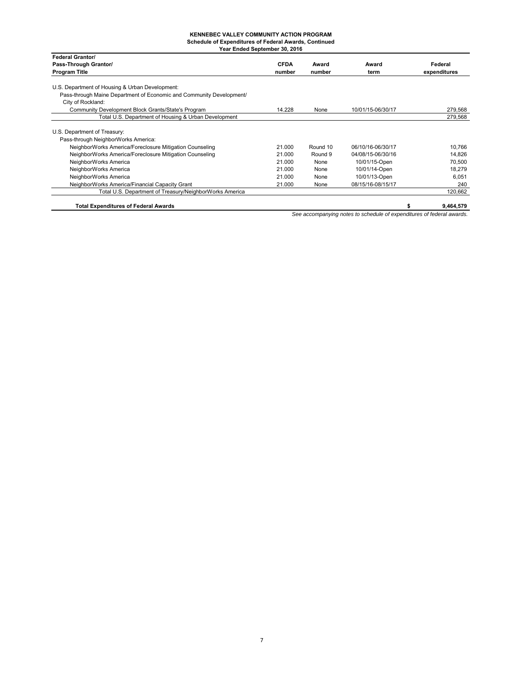#### **KENNEBEC VALLEY COMMUNITY ACTION PROGRAM**

**Schedule of Expenditures of Federal Awards, Continued**

| Year Ended September 30, 2016                                        |             |          |                   |                 |
|----------------------------------------------------------------------|-------------|----------|-------------------|-----------------|
| <b>Federal Grantor/</b>                                              |             |          |                   |                 |
| Pass-Through Grantor/                                                | <b>CFDA</b> | Award    | Award             | Federal         |
| <b>Program Title</b>                                                 | number      | number   | term              | expenditures    |
| U.S. Department of Housing & Urban Development:                      |             |          |                   |                 |
| Pass-through Maine Department of Economic and Community Development/ |             |          |                   |                 |
| City of Rockland:                                                    |             |          |                   |                 |
| Community Development Block Grants/State's Program                   | 14.228      | None     | 10/01/15-06/30/17 | 279,568         |
| Total U.S. Department of Housing & Urban Development                 |             |          |                   | 279,568         |
|                                                                      |             |          |                   |                 |
| U.S. Department of Treasury:                                         |             |          |                   |                 |
| Pass-through NeighborWorks America:                                  |             |          |                   |                 |
| NeighborWorks America/Foreclosure Mitigation Counseling              | 21.000      | Round 10 | 06/10/16-06/30/17 | 10,766          |
| NeighborWorks America/Foreclosure Mitigation Counseling              | 21.000      | Round 9  | 04/08/15-06/30/16 | 14,826          |
| NeighborWorks America                                                | 21.000      | None     | 10/01/15-Open     | 70,500          |
| NeighborWorks America                                                | 21.000      | None     | 10/01/14-Open     | 18,279          |
| NeighborWorks America                                                | 21.000      | None     | 10/01/13-Open     | 6,051           |
| NeighborWorks America/Financial Capacity Grant                       | 21.000      | None     | 08/15/16-08/15/17 | 240             |
| Total U.S. Department of Treasury/NeighborWorks America              |             |          |                   | 120,662         |
| <b>Total Expenditures of Federal Awards</b>                          |             |          |                   | 9.464.579<br>\$ |

*See accompanying notes to schedule of expenditures of federal awards.*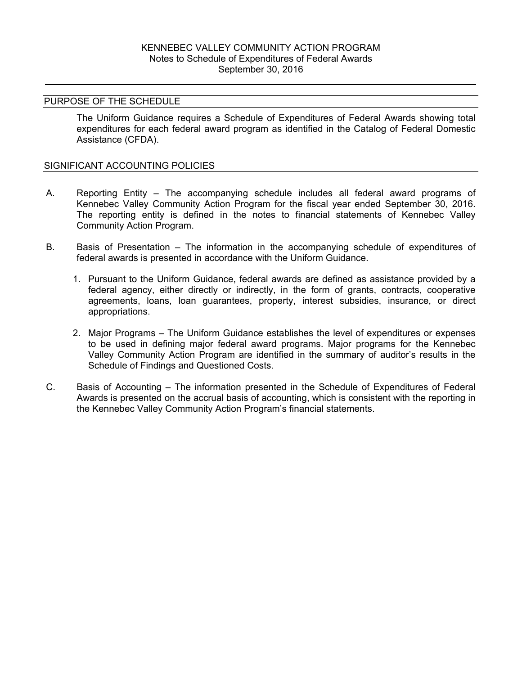### PURPOSE OF THE SCHEDULE

The Uniform Guidance requires a Schedule of Expenditures of Federal Awards showing total expenditures for each federal award program as identified in the Catalog of Federal Domestic Assistance (CFDA).

# SIGNIFICANT ACCOUNTING POLICIES

- A. Reporting Entity The accompanying schedule includes all federal award programs of Kennebec Valley Community Action Program for the fiscal year ended September 30, 2016. The reporting entity is defined in the notes to financial statements of Kennebec Valley Community Action Program.
- B. Basis of Presentation The information in the accompanying schedule of expenditures of federal awards is presented in accordance with the Uniform Guidance.
	- 1. Pursuant to the Uniform Guidance, federal awards are defined as assistance provided by a federal agency, either directly or indirectly, in the form of grants, contracts, cooperative agreements, loans, loan guarantees, property, interest subsidies, insurance, or direct appropriations.
	- 2. Major Programs The Uniform Guidance establishes the level of expenditures or expenses to be used in defining major federal award programs. Major programs for the Kennebec Valley Community Action Program are identified in the summary of auditor's results in the Schedule of Findings and Questioned Costs.
- C. Basis of Accounting The information presented in the Schedule of Expenditures of Federal Awards is presented on the accrual basis of accounting, which is consistent with the reporting in the Kennebec Valley Community Action Program's financial statements.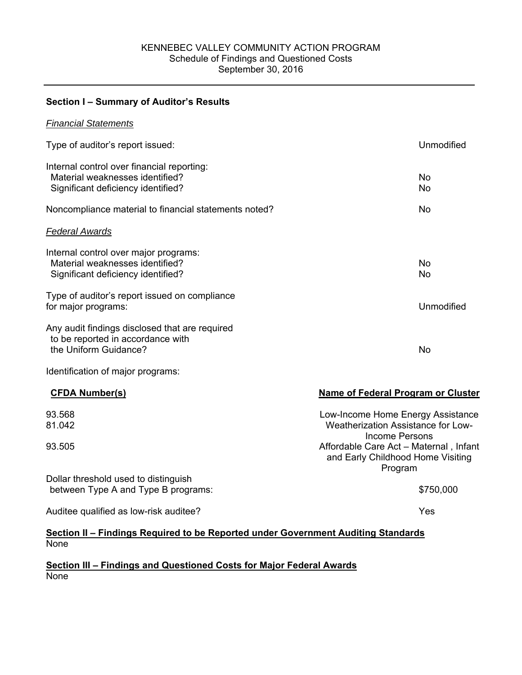# KENNEBEC VALLEY COMMUNITY ACTION PROGRAM Schedule of Findings and Questioned Costs September 30, 2016

# **Section I – Summary of Auditor's Results**

| <b>Financial Statements</b>                                                                                         |                                                                         |
|---------------------------------------------------------------------------------------------------------------------|-------------------------------------------------------------------------|
| Type of auditor's report issued:                                                                                    | Unmodified                                                              |
| Internal control over financial reporting:<br>Material weaknesses identified?<br>Significant deficiency identified? | No<br>No                                                                |
| Noncompliance material to financial statements noted?                                                               | No                                                                      |
| <b>Federal Awards</b>                                                                                               |                                                                         |
| Internal control over major programs:<br>Material weaknesses identified?<br>Significant deficiency identified?      | No<br><b>No</b>                                                         |
| Type of auditor's report issued on compliance<br>for major programs:                                                | Unmodified                                                              |
| Any audit findings disclosed that are required<br>to be reported in accordance with<br>the Uniform Guidance?        | <b>No</b>                                                               |
| Identification of major programs:                                                                                   |                                                                         |
| <b>CFDA Number(s)</b>                                                                                               | <b>Name of Federal Program or Cluster</b>                               |
| 93.568<br>81.042                                                                                                    | Low-Income Home Energy Assistance<br>Weatherization Assistance for Low- |

Weatherization Assistance for Low-Income Persons Affordable Care Act – Maternal , Infant and Early Childhood Home Visiting Program

between Type A and Type B programs:  $$750,000$ 

Auditee qualified as low-risk auditee? Auditee was a series of the series of the SNS and Yes

Dollar threshold used to distinguish

93.505

# **Section II – Findings Required to be Reported under Government Auditing Standards None**

**Section III – Findings and Questioned Costs for Major Federal Awards**  None